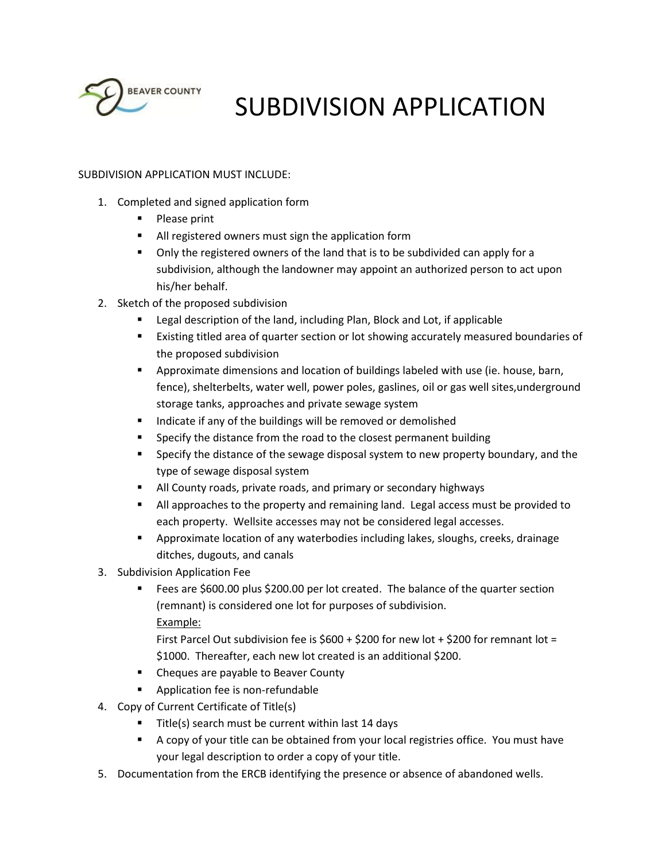

# SUBDIVISION APPLICATION

# SUBDIVISION APPLICATION MUST INCLUDE:

- 1. Completed and signed application form
	- Please print
	- All registered owners must sign the application form
	- Only the registered owners of the land that is to be subdivided can apply for a subdivision, although the landowner may appoint an authorized person to act upon his/her behalf.
- 2. Sketch of the proposed subdivision
	- Legal description of the land, including Plan, Block and Lot, if applicable
	- Existing titled area of quarter section or lot showing accurately measured boundaries of the proposed subdivision
	- **P** Approximate dimensions and location of buildings labeled with use (ie. house, barn, fence), shelterbelts, water well, power poles, gaslines, oil or gas well sites,underground storage tanks, approaches and private sewage system
	- Indicate if any of the buildings will be removed or demolished
	- Specify the distance from the road to the closest permanent building
	- **Specify the distance of the sewage disposal system to new property boundary, and the** type of sewage disposal system
	- **All County roads, private roads, and primary or secondary highways**
	- All approaches to the property and remaining land. Legal access must be provided to each property. Wellsite accesses may not be considered legal accesses.
	- Approximate location of any waterbodies including lakes, sloughs, creeks, drainage ditches, dugouts, and canals
- 3. Subdivision Application Fee
	- Fees are \$600.00 plus \$200.00 per lot created. The balance of the quarter section (remnant) is considered one lot for purposes of subdivision. Example:
		- First Parcel Out subdivision fee is  $$600 + $200$  for new lot  $+ $200$  for remnant lot = \$1000. Thereafter, each new lot created is an additional \$200.
	- Cheques are payable to Beaver County
	- **Application fee is non-refundable**
- 4. Copy of Current Certificate of Title(s)
	- Title(s) search must be current within last 14 days
	- A copy of your title can be obtained from your local registries office. You must have your legal description to order a copy of your title.
- 5. Documentation from the ERCB identifying the presence or absence of abandoned wells.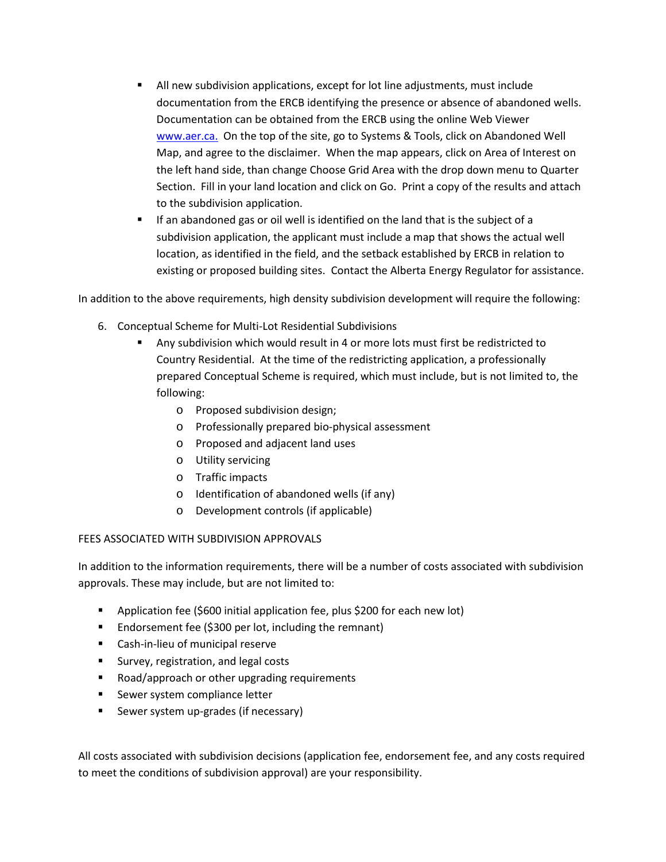- All new subdivision applications, except for lot line adjustments, must include documentation from the ERCB identifying the presence or absence of abandoned wells. Documentation can be obtained from the ERCB using the online Web Viewer www.aer.ca. On the top of the site, go to Systems & Tools, click on Abandoned Well Map, and agree to the disclaimer. When the map appears, click on Area of Interest on the left hand side, than change Choose Grid Area with the drop down menu to Quarter Section. Fill in your land location and click on Go. Print a copy of the results and attach to the subdivision application.
- **If an abandoned gas or oil well is identified on the land that is the subject of a** subdivision application, the applicant must include a map that shows the actual well location, as identified in the field, and the setback established by ERCB in relation to existing or proposed building sites. Contact the Alberta Energy Regulator for assistance.

In addition to the above requirements, high density subdivision development will require the following:

- 6. Conceptual Scheme for Multi-Lot Residential Subdivisions
	- Any subdivision which would result in 4 or more lots must first be redistricted to Country Residential. At the time of the redistricting application, a professionally prepared Conceptual Scheme is required, which must include, but is not limited to, the following:
		- o Proposed subdivision design;
		- o Professionally prepared bio-physical assessment
		- o Proposed and adjacent land uses
		- o Utility servicing
		- o Traffic impacts
		- o Identification of abandoned wells (if any)
		- o Development controls (if applicable)

# FEES ASSOCIATED WITH SUBDIVISION APPROVALS

In addition to the information requirements, there will be a number of costs associated with subdivision approvals. These may include, but are not limited to:

- **•** Application fee (\$600 initial application fee, plus \$200 for each new lot)
- **Endorsement fee (\$300 per lot, including the remnant)**
- **EXEC** Cash-in-lieu of municipal reserve
- **Survey, registration, and legal costs**
- Road/approach or other upgrading requirements
- **Sewer system compliance letter**
- Sewer system up-grades (if necessary)

All costs associated with subdivision decisions (application fee, endorsement fee, and any costs required to meet the conditions of subdivision approval) are your responsibility.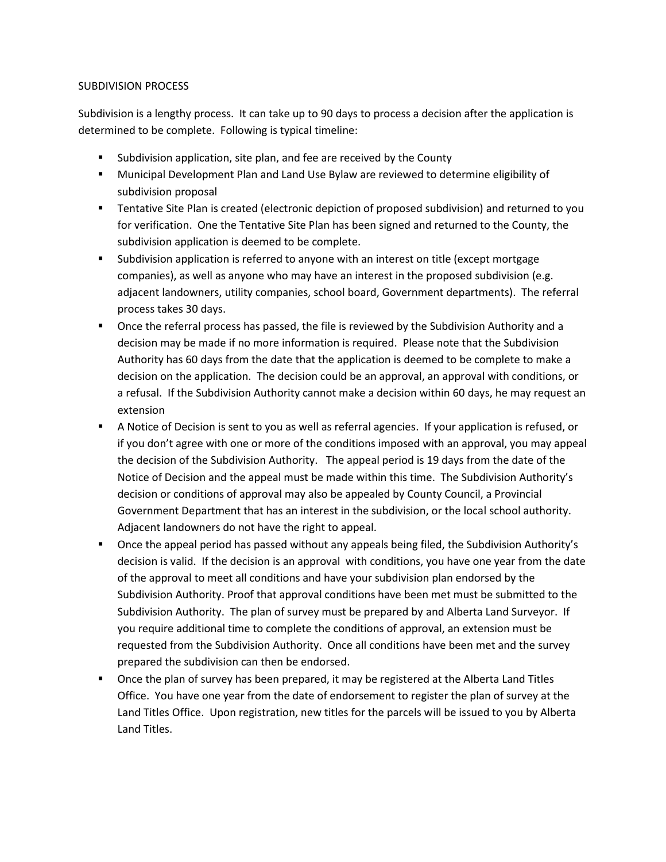## SUBDIVISION PROCESS

Subdivision is a lengthy process. It can take up to 90 days to process a decision after the application is determined to be complete. Following is typical timeline:

- Subdivision application, site plan, and fee are received by the County
- Municipal Development Plan and Land Use Bylaw are reviewed to determine eligibility of subdivision proposal
- **Tentative Site Plan is created (electronic depiction of proposed subdivision) and returned to you** for verification. One the Tentative Site Plan has been signed and returned to the County, the subdivision application is deemed to be complete.
- Subdivision application is referred to anyone with an interest on title (except mortgage companies), as well as anyone who may have an interest in the proposed subdivision (e.g. adjacent landowners, utility companies, school board, Government departments). The referral process takes 30 days.
- **•** Once the referral process has passed, the file is reviewed by the Subdivision Authority and a decision may be made if no more information is required. Please note that the Subdivision Authority has 60 days from the date that the application is deemed to be complete to make a decision on the application. The decision could be an approval, an approval with conditions, or a refusal. If the Subdivision Authority cannot make a decision within 60 days, he may request an extension
- A Notice of Decision is sent to you as well as referral agencies. If your application is refused, or if you don't agree with one or more of the conditions imposed with an approval, you may appeal the decision of the Subdivision Authority. The appeal period is 19 days from the date of the Notice of Decision and the appeal must be made within this time. The Subdivision Authority's decision or conditions of approval may also be appealed by County Council, a Provincial Government Department that has an interest in the subdivision, or the local school authority. Adjacent landowners do not have the right to appeal.
- **Diamble 1** Once the appeal period has passed without any appeals being filed, the Subdivision Authority's decision is valid. If the decision is an approval with conditions, you have one year from the date of the approval to meet all conditions and have your subdivision plan endorsed by the Subdivision Authority. Proof that approval conditions have been met must be submitted to the Subdivision Authority. The plan of survey must be prepared by and Alberta Land Surveyor. If you require additional time to complete the conditions of approval, an extension must be requested from the Subdivision Authority. Once all conditions have been met and the survey prepared the subdivision can then be endorsed.
- Once the plan of survey has been prepared, it may be registered at the Alberta Land Titles Office. You have one year from the date of endorsement to register the plan of survey at the Land Titles Office. Upon registration, new titles for the parcels will be issued to you by Alberta Land Titles.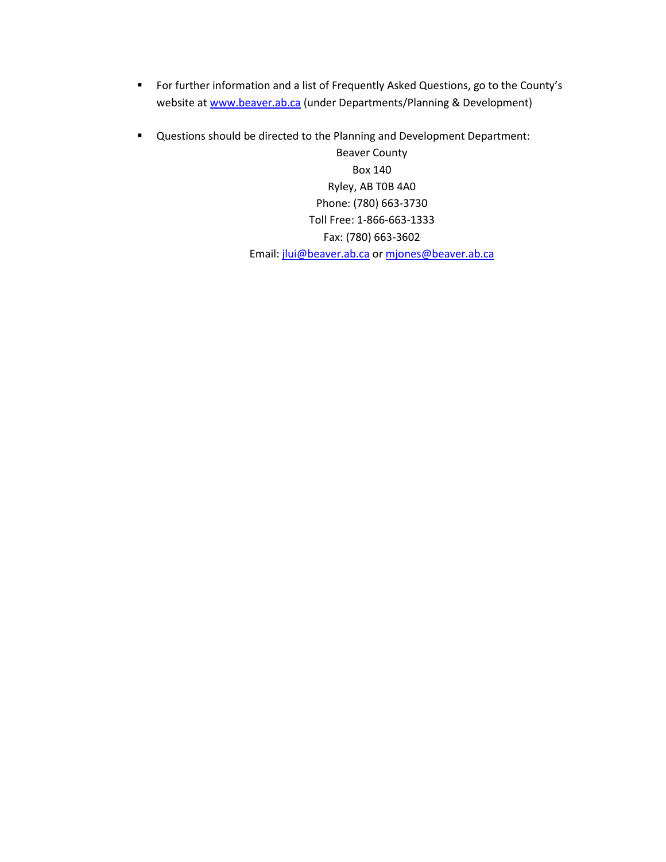- **For further information and a list of Frequently Asked Questions, go to the County's** website at www.beaver.ab.ca (under Departments/Planning & Development)
- Questions should be directed to the Planning and Development Department:

Beaver County Box 140 Ryley, AB T0B 4A0 Phone: (780) 663-3730 Toll Free: 1-866-663-1333 Fax: (780) 663-3602 Email: jlui@beaver.ab.ca or mjones@beaver.ab.ca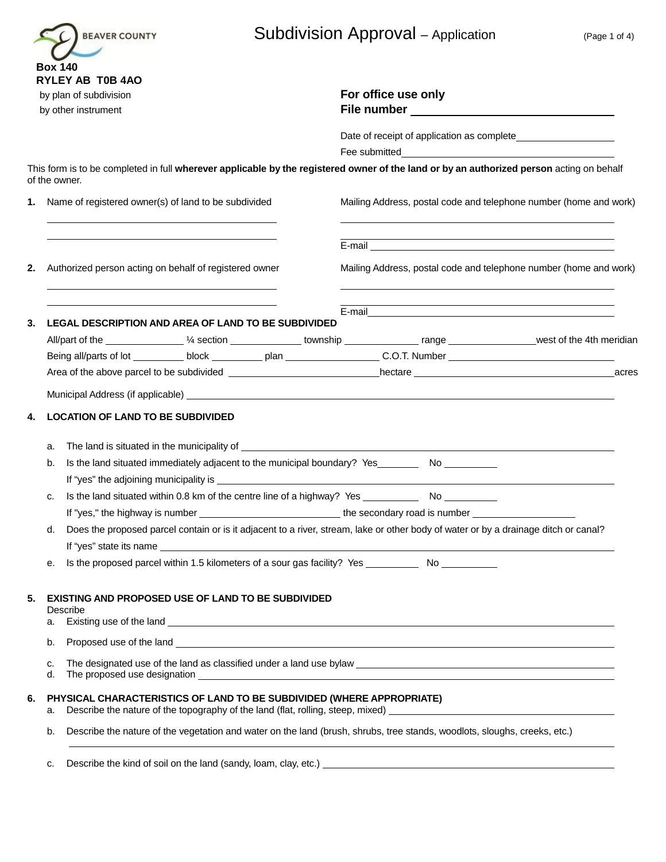|                | <b>BEAVER COUNTY</b>                                                                                                             | <b>Subdivision Approval</b> – Application<br>(Page 1 of 4)                                                                                                                                                                                                                                                                             |  |  |  |  |
|----------------|----------------------------------------------------------------------------------------------------------------------------------|----------------------------------------------------------------------------------------------------------------------------------------------------------------------------------------------------------------------------------------------------------------------------------------------------------------------------------------|--|--|--|--|
| <b>Box 140</b> | <b>RYLEY AB T0B 4AO</b><br>by plan of subdivision<br>by other instrument                                                         | For office use only<br>File number and the state of the state of the state of the state of the state of the state of the state of the                                                                                                                                                                                                  |  |  |  |  |
|                |                                                                                                                                  |                                                                                                                                                                                                                                                                                                                                        |  |  |  |  |
| of the owner.  |                                                                                                                                  | This form is to be completed in full wherever applicable by the registered owner of the land or by an authorized person acting on behalf                                                                                                                                                                                               |  |  |  |  |
|                | 1. Name of registered owner(s) of land to be subdivided                                                                          | Mailing Address, postal code and telephone number (home and work)                                                                                                                                                                                                                                                                      |  |  |  |  |
|                |                                                                                                                                  |                                                                                                                                                                                                                                                                                                                                        |  |  |  |  |
| 2.             | Authorized person acting on behalf of registered owner                                                                           | Mailing Address, postal code and telephone number (home and work)                                                                                                                                                                                                                                                                      |  |  |  |  |
| 3.             | LEGAL DESCRIPTION AND AREA OF LAND TO BE SUBDIVIDED                                                                              |                                                                                                                                                                                                                                                                                                                                        |  |  |  |  |
|                | All/part of the _____________ 1/4 section ______________ township _______________ range ________________west of the 4th meridian |                                                                                                                                                                                                                                                                                                                                        |  |  |  |  |
|                |                                                                                                                                  | Being all/parts of lot __________ block __________ plan ____________________C.O.T. Number ____________________                                                                                                                                                                                                                         |  |  |  |  |
|                | acres                                                                                                                            |                                                                                                                                                                                                                                                                                                                                        |  |  |  |  |
|                |                                                                                                                                  |                                                                                                                                                                                                                                                                                                                                        |  |  |  |  |
| 4.             | <b>LOCATION OF LAND TO BE SUBDIVIDED</b>                                                                                         |                                                                                                                                                                                                                                                                                                                                        |  |  |  |  |
| a.             |                                                                                                                                  |                                                                                                                                                                                                                                                                                                                                        |  |  |  |  |
| b.             |                                                                                                                                  |                                                                                                                                                                                                                                                                                                                                        |  |  |  |  |
| c.             |                                                                                                                                  |                                                                                                                                                                                                                                                                                                                                        |  |  |  |  |
|                |                                                                                                                                  |                                                                                                                                                                                                                                                                                                                                        |  |  |  |  |
|                |                                                                                                                                  | If "yes," the highway is number __________________________________the secondary road is number _______________                                                                                                                                                                                                                         |  |  |  |  |
| d.             |                                                                                                                                  | Does the proposed parcel contain or is it adjacent to a river, stream, lake or other body of water or by a drainage ditch or canal?                                                                                                                                                                                                    |  |  |  |  |
| е.             |                                                                                                                                  | If "yes" state its name experience and the state of the state of the state of the state of the state of the state of the state of the state of the state of the state of the state of the state of the state of the state of t<br>Is the proposed parcel within 1.5 kilometers of a sour gas facility? Yes _____________ No __________ |  |  |  |  |
| 5.             | EXISTING AND PROPOSED USE OF LAND TO BE SUBDIVIDED<br>Describe                                                                   |                                                                                                                                                                                                                                                                                                                                        |  |  |  |  |
| а.             |                                                                                                                                  |                                                                                                                                                                                                                                                                                                                                        |  |  |  |  |
| b.             |                                                                                                                                  |                                                                                                                                                                                                                                                                                                                                        |  |  |  |  |
| c.<br>d.       |                                                                                                                                  | The proposed use designation entertainment and the proposed use designation entertainment and the proposed use                                                                                                                                                                                                                         |  |  |  |  |
| 6.<br>a.       | PHYSICAL CHARACTERISTICS OF LAND TO BE SUBDIVIDED (WHERE APPROPRIATE)                                                            |                                                                                                                                                                                                                                                                                                                                        |  |  |  |  |

c. Describe the kind of soil on the land (sandy, loam, clay, etc.) **contain the solution of the system** contains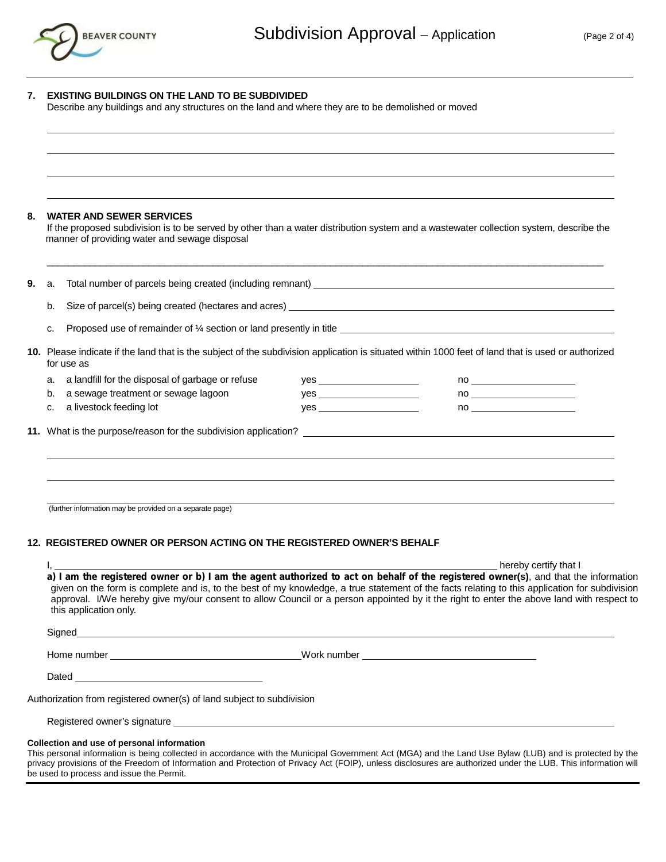

| 7.       | <b>EXISTING BUILDINGS ON THE LAND TO BE SUBDIVIDED</b><br>Describe any buildings and any structures on the land and where they are to be demolished or moved                                                                                                                                                                                                                                                                                              |                                    |                                                                                                                                        |  |  |
|----------|-----------------------------------------------------------------------------------------------------------------------------------------------------------------------------------------------------------------------------------------------------------------------------------------------------------------------------------------------------------------------------------------------------------------------------------------------------------|------------------------------------|----------------------------------------------------------------------------------------------------------------------------------------|--|--|
|          |                                                                                                                                                                                                                                                                                                                                                                                                                                                           |                                    |                                                                                                                                        |  |  |
|          |                                                                                                                                                                                                                                                                                                                                                                                                                                                           |                                    |                                                                                                                                        |  |  |
|          | <b>WATER AND SEWER SERVICES</b><br>manner of providing water and sewage disposal                                                                                                                                                                                                                                                                                                                                                                          |                                    | If the proposed subdivision is to be served by other than a water distribution system and a wastewater collection system, describe the |  |  |
| 9.<br>а. | Size of parcel(s) being created (hectares and acres) example and acres and acres and acres and acres and acres                                                                                                                                                                                                                                                                                                                                            |                                    |                                                                                                                                        |  |  |
| b.       |                                                                                                                                                                                                                                                                                                                                                                                                                                                           |                                    |                                                                                                                                        |  |  |
| c.       | Proposed use of remainder of 1/4 section or land presently in title <b>Example 2014</b> and the proposed use of remainder of 1/4 section or land presently in title                                                                                                                                                                                                                                                                                       |                                    |                                                                                                                                        |  |  |
|          | 10. Please indicate if the land that is the subject of the subdivision application is situated within 1000 feet of land that is used or authorized<br>for use as                                                                                                                                                                                                                                                                                          |                                    |                                                                                                                                        |  |  |
| a.       | a landfill for the disposal of garbage or refuse                                                                                                                                                                                                                                                                                                                                                                                                          | $yes$ and $\overline{\phantom{a}}$ |                                                                                                                                        |  |  |
| b.       | a sewage treatment or sewage lagoon                                                                                                                                                                                                                                                                                                                                                                                                                       |                                    |                                                                                                                                        |  |  |
| c.       | a livestock feeding lot                                                                                                                                                                                                                                                                                                                                                                                                                                   | $yes$ and $yes$                    | no a contra un contra un contra un contra un contra un contra un contra un contra un contra un contra un contra                        |  |  |
|          |                                                                                                                                                                                                                                                                                                                                                                                                                                                           |                                    |                                                                                                                                        |  |  |
|          | (further information may be provided on a separate page)                                                                                                                                                                                                                                                                                                                                                                                                  |                                    |                                                                                                                                        |  |  |
|          | 12. REGISTERED OWNER OR PERSON ACTING ON THE REGISTERED OWNER'S BEHALF                                                                                                                                                                                                                                                                                                                                                                                    |                                    |                                                                                                                                        |  |  |
|          | hereby certify that I                                                                                                                                                                                                                                                                                                                                                                                                                                     |                                    |                                                                                                                                        |  |  |
|          | a) I am the registered owner or b) I am the agent authorized to act on behalf of the registered owner(s), and that the information<br>given on the form is complete and is, to the best of my knowledge, a true statement of the facts relating to this application for subdivision<br>approval. I/We hereby give my/our consent to allow Council or a person appointed by it the right to enter the above land with respect to<br>this application only. |                                    |                                                                                                                                        |  |  |
|          | Signed <b>Example 2008</b> Signed <b>Contract Contract Contract Contract Contract Contract Contract Contract Contract Contract Contract Contract Contract Contract Contract Contract Contract Contract Contract Contract Contract Con</b>                                                                                                                                                                                                                 |                                    |                                                                                                                                        |  |  |
|          |                                                                                                                                                                                                                                                                                                                                                                                                                                                           |                                    |                                                                                                                                        |  |  |
|          |                                                                                                                                                                                                                                                                                                                                                                                                                                                           |                                    |                                                                                                                                        |  |  |
|          | Authorization from registered owner(s) of land subject to subdivision                                                                                                                                                                                                                                                                                                                                                                                     |                                    |                                                                                                                                        |  |  |
|          |                                                                                                                                                                                                                                                                                                                                                                                                                                                           |                                    |                                                                                                                                        |  |  |
|          |                                                                                                                                                                                                                                                                                                                                                                                                                                                           |                                    |                                                                                                                                        |  |  |

#### **Collection and use of personal information**

This personal information is being collected in accordance with the Municipal Government Act (MGA) and the Land Use Bylaw (LUB) and is protected by the privacy provisions of the Freedom of Information and Protection of Privacy Act (FOIP), unless disclosures are authorized under the LUB. This information will be used to process and issue the Permit.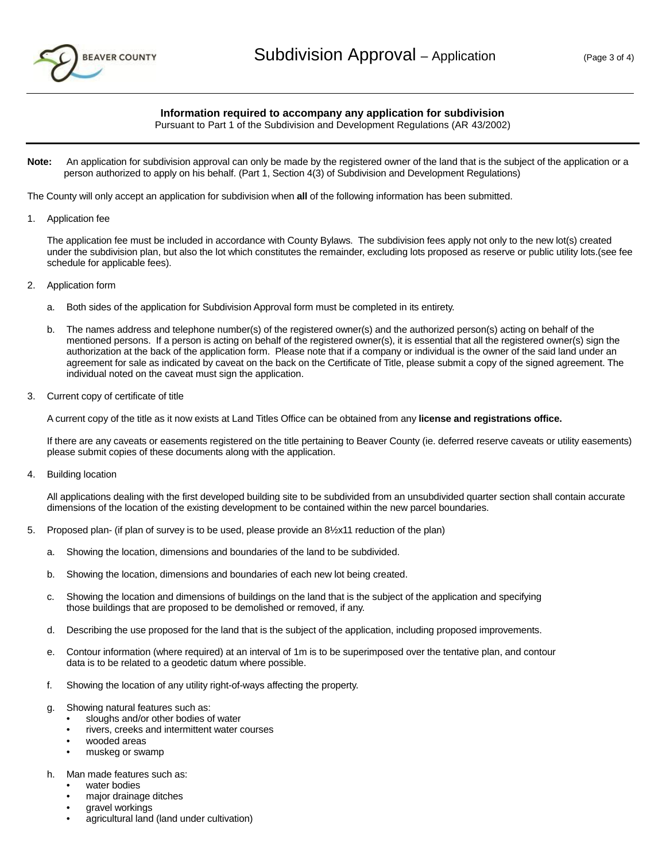

#### **Information required to accompany any application for subdivision**

Pursuant to Part 1 of the Subdivision and Development Regulations (AR 43/2002)

**Note:** An application for subdivision approval can only be made by the registered owner of the land that is the subject of the application or a person authorized to apply on his behalf. (Part 1, Section 4(3) of Subdivision and Development Regulations)

The County will only accept an application for subdivision when **all** of the following information has been submitted.

1. Application fee

The application fee must be included in accordance with County Bylaws. The subdivision fees apply not only to the new lot(s) created under the subdivision plan, but also the lot which constitutes the remainder, excluding lots proposed as reserve or public utility lots.(see fee schedule for applicable fees).

- 2. Application form
	- a. Both sides of the application for Subdivision Approval form must be completed in its entirety.
	- b. The names address and telephone number(s) of the registered owner(s) and the authorized person(s) acting on behalf of the mentioned persons. If a person is acting on behalf of the registered owner(s), it is essential that all the registered owner(s) sign the authorization at the back of the application form. Please note that if a company or individual is the owner of the said land under an agreement for sale as indicated by caveat on the back on the Certificate of Title, please submit a copy of the signed agreement. The individual noted on the caveat must sign the application.
- 3. Current copy of certificate of title

A current copy of the title as it now exists at Land Titles Office can be obtained from any **license and registrations office.**

If there are any caveats or easements registered on the title pertaining to Beaver County (ie. deferred reserve caveats or utility easements) please submit copies of these documents along with the application.

4. Building location

All applications dealing with the first developed building site to be subdivided from an unsubdivided quarter section shall contain accurate dimensions of the location of the existing development to be contained within the new parcel boundaries.

- 5. Proposed plan- (if plan of survey is to be used, please provide an 8½x11 reduction of the plan)
	- a. Showing the location, dimensions and boundaries of the land to be subdivided.
	- b. Showing the location, dimensions and boundaries of each new lot being created.
	- c. Showing the location and dimensions of buildings on the land that is the subject of the application and specifying those buildings that are proposed to be demolished or removed, if any.
	- d. Describing the use proposed for the land that is the subject of the application, including proposed improvements.
	- e. Contour information (where required) at an interval of 1m is to be superimposed over the tentative plan, and contour data is to be related to a geodetic datum where possible.
	- f. Showing the location of any utility right-of-ways affecting the property.
	- g. Showing natural features such as:
		- sloughs and/or other bodies of water
		- rivers, creeks and intermittent water courses
		- wooded areas
		- muskeg or swamp
	- h. Man made features such as:
		- water bodies
		- major drainage ditches
		- gravel workings
		- agricultural land (land under cultivation)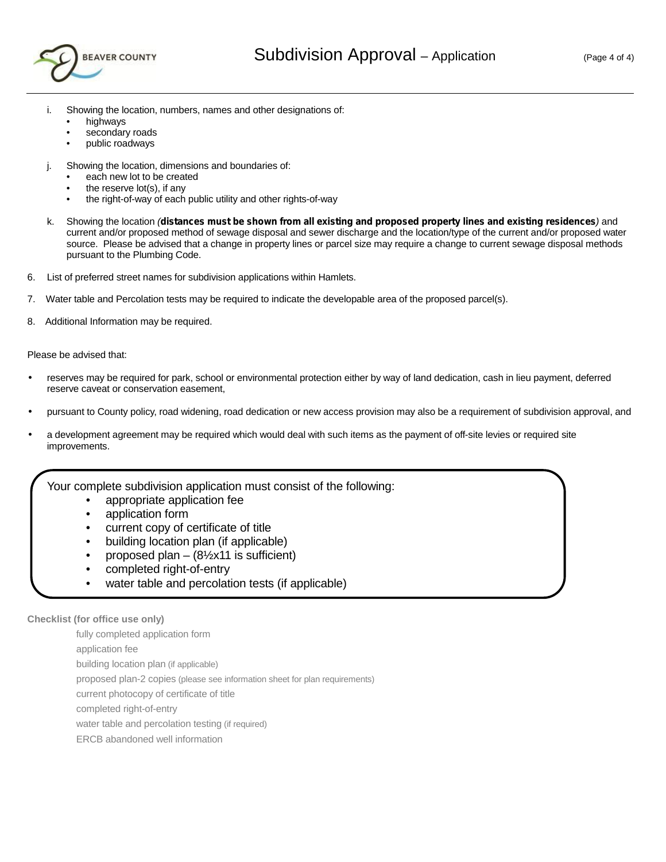

- i. Showing the location, numbers, names and other designations of:
	- highways
	- secondary roads
	- public roadways
- j. Showing the location, dimensions and boundaries of:
	- each new lot to be created
	- the reserve  $lot(s)$ , if any
	- the right-of-way of each public utility and other rights-of-way
- k. Showing the location *(distances must be shown from all existing and proposed property lines and existing residences)* and current and/or proposed method of sewage disposal and sewer discharge and the location/type of the current and/or proposed water source. Please be advised that a change in property lines or parcel size may require a change to current sewage disposal methods pursuant to the Plumbing Code.
- 6. List of preferred street names for subdivision applications within Hamlets.
- 7. Water table and Percolation tests may be required to indicate the developable area of the proposed parcel(s).
- 8. Additional Information may be required.

Please be advised that:

- reserves may be required for park, school or environmental protection either by way of land dedication, cash in lieu payment, deferred reserve caveat or conservation easement,
- pursuant to County policy, road widening, road dedication or new access provision may also be a requirement of subdivision approval, and
- a development agreement may be required which would deal with such items as the payment of off-site levies or required site improvements.
	- Your complete subdivision application must consist of the following:
		- appropriate application fee
		- application form
		- current copy of certificate of title
		- building location plan (if applicable)
		- proposed plan  $-$  (8½x11 is sufficient)
		- completed right-of-entry
		- water table and percolation tests (if applicable)

### **Checklist (for office use only)**

fully completed application form application fee building location plan (if applicable) proposed plan-2 copies (please see information sheet for plan requirements) current photocopy of certificate of title completed right-of-entry water table and percolation testing (if required)

ERCB abandoned well information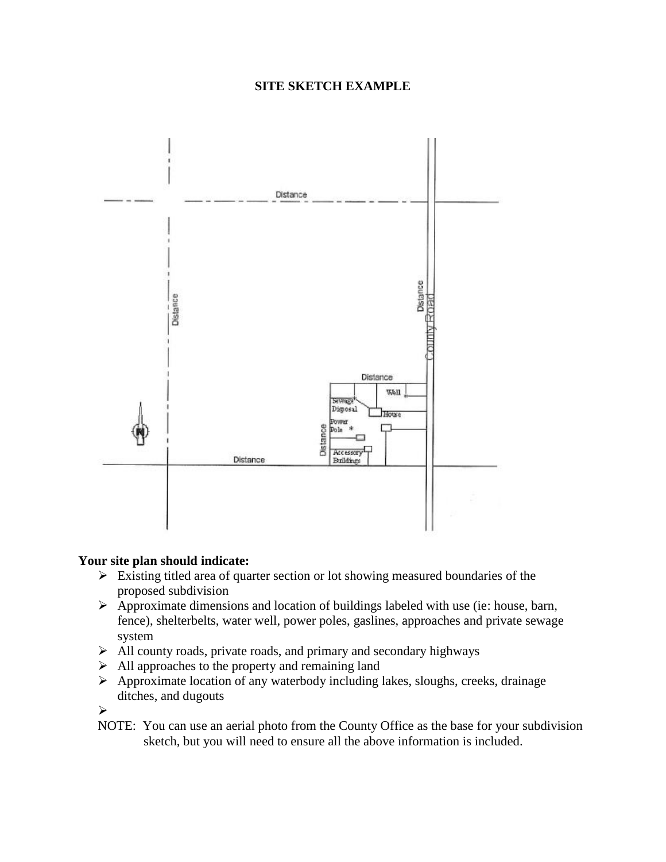# **SITE SKETCH EXAMPLE**



# **Your site plan should indicate:**

- $\triangleright$  Existing titled area of quarter section or lot showing measured boundaries of the proposed subdivision
- $\triangleright$  Approximate dimensions and location of buildings labeled with use (ie: house, barn, fence), shelterbelts, water well, power poles, gaslines, approaches and private sewage system
- $\triangleright$  All county roads, private roads, and primary and secondary highways
- $\triangleright$  All approaches to the property and remaining land
- $\triangleright$  Approximate location of any waterbody including lakes, sloughs, creeks, drainage ditches, and dugouts

 $\sim$   $\sim$ 

NOTE: You can use an aerial photo from the County Office as the base for your subdivision sketch, but you will need to ensure all the above information is included.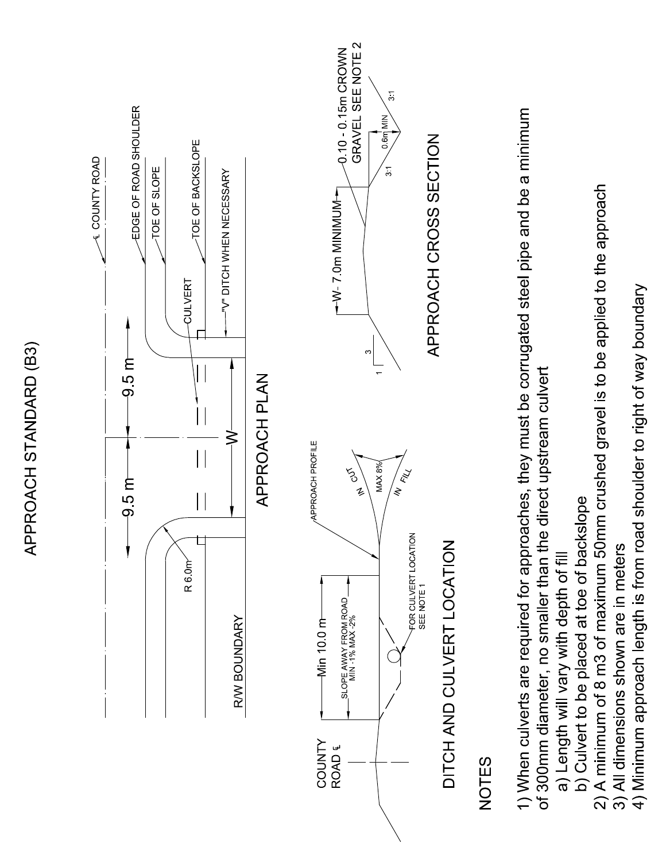

4) Minimum approach length is from road shoulder to right of way boundary

APPROACH STANDARD (B3)